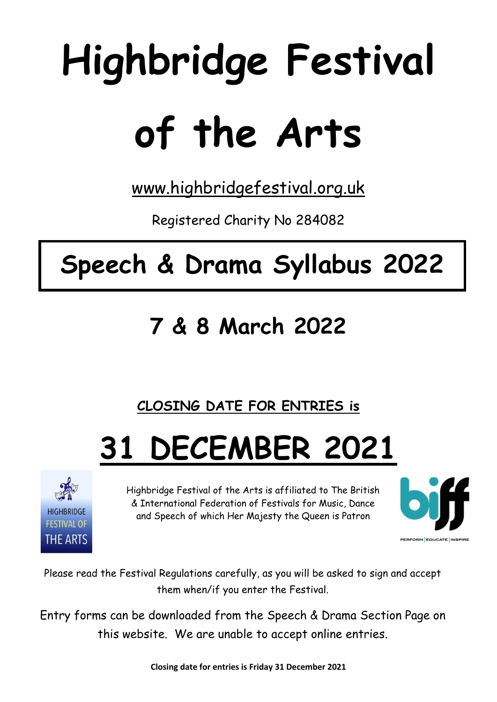# **Highbridge Festival of the Arts**

[www.highbridgefestival.org.uk](http://www.highbridgefestival.org.uk/)

Registered Charity No 284082

# **Speech & Drama Syllabus 2022**

# **7 & 8 March 2022**

## **CLOSING DATE FOR ENTRIES is**

# **31 DECEMBER 2021**



Highbridge Festival of the Arts is affiliated to The British & International Federation of Festivals for Music, Dance and Speech of which Her Majesty the Queen is Patron



Please read the Festival Regulations carefully, as you will be asked to sign and accept them when/if you enter the Festival.

Entry forms can be downloaded from the Speech & Drama Section Page on this website. We are unable to accept online entries.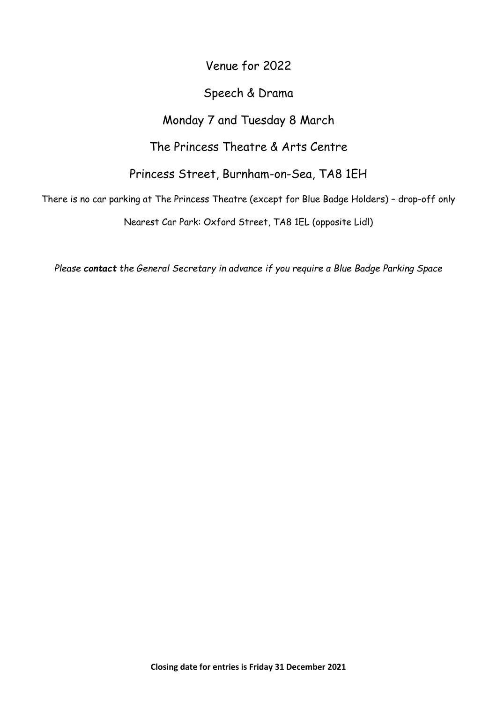### Venue for 2022

#### Speech & Drama

### Monday 7 and Tuesday 8 March

The Princess Theatre & Arts Centre

Princess Street, Burnham-on-Sea, TA8 1EH

There is no car parking at The Princess Theatre (except for Blue Badge Holders) – drop-off only

Nearest Car Park: Oxford Street, TA8 1EL (opposite Lidl)

*Please contact the General Secretary in advance if you require a Blue Badge Parking Space*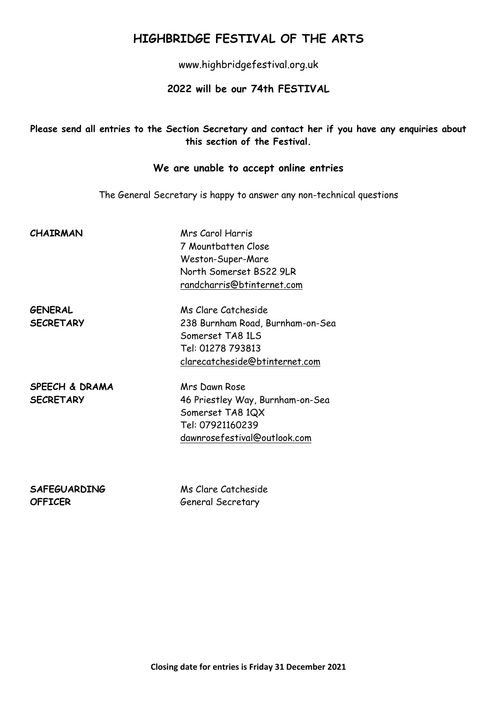### **HIGHBRIDGE FESTIVAL OF THE ARTS**

www.highbridgefestival.org.uk

#### **2022 will be our 74th FESTIVAL**

#### **Please send all entries to the Section Secretary and contact her if you have any enquiries about this section of the Festival.**

#### **We are unable to accept online entries**

The General Secretary is happy to answer any non-technical questions

| <b>CHAIRMAN</b> | Mrs Carol Harris           |
|-----------------|----------------------------|
|                 | 7 Mountbatten Close        |
|                 | Weston-Super-Mare          |
|                 | North Somerset BS22 9LR    |
|                 | randcharris@btinternet.com |

**GENERAL** Ms Clare Catcheside **SECRETARY** 238 Burnham Road, Burnham-on-Sea Somerset TA8 1LS Tel: 01278 793813 [clarecatcheside@btinternet.com](mailto:clarecatcheside@btinternet.com)

**SPEECH & DRAMA** Mrs Dawn Rose

**SECRETARY** 46 Priestley Way, Burnham-on-Sea Somerset TA8 1QX Tel: 07921160239 dawnrosefestival@outlook.com

**SAFEGUARDING** Ms Clare Catcheside **OFFICER** General Secretary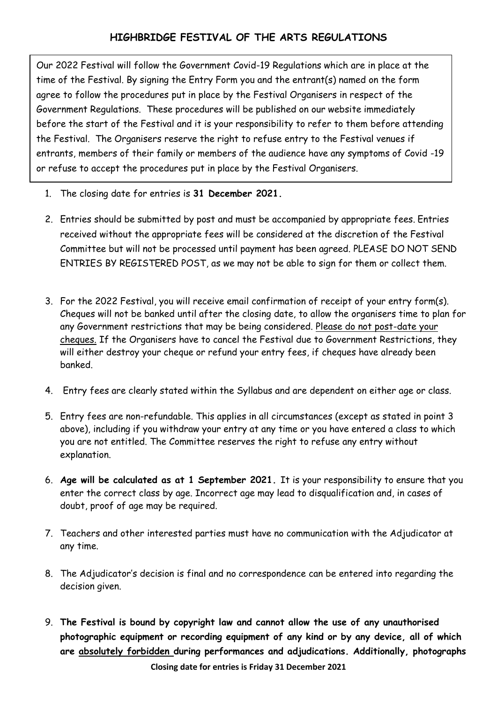Our 2022 Festival will follow the Government Covid-19 Regulations which are in place at the time of the Festival. By signing the Entry Form you and the entrant(s) named on the form agree to follow the procedures put in place by the Festival Organisers in respect of the Government Regulations. These procedures will be published on our website immediately before the start of the Festival and it is your responsibility to refer to them before attending the Festival. The Organisers reserve the right to refuse entry to the Festival venues if entrants, members of their family or members of the audience have any symptoms of Covid -19 or refuse to accept the procedures put in place by the Festival Organisers.

- 1. The closing date for entries is **31 December 2021.**
- 2. Entries should be submitted by post and must be accompanied by appropriate fees. Entries received without the appropriate fees will be considered at the discretion of the Festival Committee but will not be processed until payment has been agreed. PLEASE DO NOT SEND ENTRIES BY REGISTERED POST, as we may not be able to sign for them or collect them.
- 3. For the 2022 Festival, you will receive email confirmation of receipt of your entry form(s). Cheques will not be banked until after the closing date, to allow the organisers time to plan for any Government restrictions that may be being considered. Please do not post-date your cheques. If the Organisers have to cancel the Festival due to Government Restrictions, they will either destroy your cheque or refund your entry fees, if cheques have already been banked.
- 4. Entry fees are clearly stated within the Syllabus and are dependent on either age or class.
- 5. Entry fees are non-refundable. This applies in all circumstances (except as stated in point 3 above), including if you withdraw your entry at any time or you have entered a class to which you are not entitled. The Committee reserves the right to refuse any entry without explanation.
- 6. **Age will be calculated as at 1 September 2021.** It is your responsibility to ensure that you enter the correct class by age. Incorrect age may lead to disqualification and, in cases of doubt, proof of age may be required.
- 7. Teachers and other interested parties must have no communication with the Adjudicator at any time.
- 8. The Adjudicator's decision is final and no correspondence can be entered into regarding the decision given.
- 9. **The Festival is bound by copyright law and cannot allow the use of any unauthorised photographic equipment or recording equipment of any kind or by any device, all of which are absolutely forbidden during performances and adjudications. Additionally, photographs**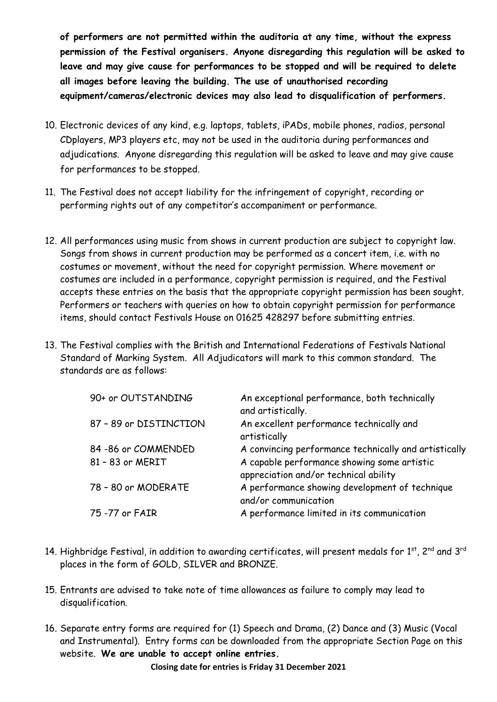**of performers are not permitted within the auditoria at any time, without the express permission of the Festival organisers. Anyone disregarding this regulation will be asked to leave and may give cause for performances to be stopped and will be required to delete all images before leaving the building. The use of unauthorised recording equipment/cameras/electronic devices may also lead to disqualification of performers.**

- 10. Electronic devices of any kind, e.g. laptops, tablets, iPADs, mobile phones, radios, personal CDplayers, MP3 players etc, may not be used in the auditoria during performances and adjudications. Anyone disregarding this regulation will be asked to leave and may give cause for performances to be stopped.
- 11. The Festival does not accept liability for the infringement of copyright, recording or performing rights out of any competitor's accompaniment or performance.
- 12. All performances using music from shows in current production are subject to copyright law. Songs from shows in current production may be performed as a concert item, i.e. with no costumes or movement, without the need for copyright permission. Where movement or costumes are included in a performance, copyright permission is required, and the Festival accepts these entries on the basis that the appropriate copyright permission has been sought. Performers or teachers with queries on how to obtain copyright permission for performance items, should contact Festivals House on 01625 428297 before submitting entries.
- 13. The Festival complies with the British and International Federations of Festivals National Standard of Marking System. All Adjudicators will mark to this common standard. The standards are as follows:

| 90+ or OUTSTANDING     | An exceptional performance, both technically<br>and artistically.                    |
|------------------------|--------------------------------------------------------------------------------------|
| 87 - 89 or DISTINCTION | An excellent performance technically and<br>artistically                             |
| 84 - 86 or COMMENDED   | A convincing performance technically and artistically                                |
| 81 - 83 or MERIT       | A capable performance showing some artistic<br>appreciation and/or technical ability |
| 78 - 80 or MODERATE    | A performance showing development of technique<br>and/or communication               |
| 75 -77 or FAIR         | A performance limited in its communication                                           |

- 14. Highbridge Festival, in addition to awarding certificates, will present medals for 1<sup>st</sup>. 2<sup>nd</sup> and 3<sup>rd</sup> places in the form of GOLD, SILVER and BRONZE.
- 15. Entrants are advised to take note of time allowances as failure to comply may lead to disqualification.
- 16. Separate entry forms are required for (1) Speech and Drama, (2) Dance and (3) Music (Vocal and Instrumental). Entry forms can be downloaded from the appropriate Section Page on this website. **We are unable to accept online entries.**

**Closing date for entries is Friday 31 December 2021**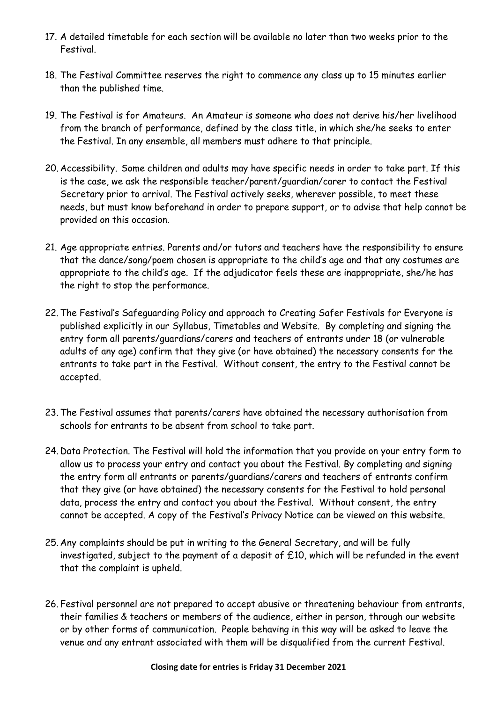- 17. A detailed timetable for each section will be available no later than two weeks prior to the Festival.
- 18. The Festival Committee reserves the right to commence any class up to 15 minutes earlier than the published time.
- 19. The Festival is for Amateurs. An Amateur is someone who does not derive his/her livelihood from the branch of performance, defined by the class title, in which she/he seeks to enter the Festival. In any ensemble, all members must adhere to that principle.
- 20. Accessibility. Some children and adults may have specific needs in order to take part. If this is the case, we ask the responsible teacher/parent/guardian/carer to contact the Festival Secretary prior to arrival. The Festival actively seeks, wherever possible, to meet these needs, but must know beforehand in order to prepare support, or to advise that help cannot be provided on this occasion.
- 21. Age appropriate entries. Parents and/or tutors and teachers have the responsibility to ensure that the dance/song/poem chosen is appropriate to the child's age and that any costumes are appropriate to the child's age. If the adjudicator feels these are inappropriate, she/he has the right to stop the performance.
- 22.The Festival's Safeguarding Policy and approach to Creating Safer Festivals for Everyone is published explicitly in our Syllabus, Timetables and Website. By completing and signing the entry form all parents/guardians/carers and teachers of entrants under 18 (or vulnerable adults of any age) confirm that they give (or have obtained) the necessary consents for the entrants to take part in the Festival. Without consent, the entry to the Festival cannot be accepted.
- 23.The Festival assumes that parents/carers have obtained the necessary authorisation from schools for entrants to be absent from school to take part.
- 24. Data Protection. The Festival will hold the information that you provide on your entry form to allow us to process your entry and contact you about the Festival. By completing and signing the entry form all entrants or parents/guardians/carers and teachers of entrants confirm that they give (or have obtained) the necessary consents for the Festival to hold personal data, process the entry and contact you about the Festival. Without consent, the entry cannot be accepted. A copy of the Festival's Privacy Notice can be viewed on this website.
- 25. Any complaints should be put in writing to the General Secretary, and will be fully investigated, subject to the payment of a deposit of £10, which will be refunded in the event that the complaint is upheld.
- 26. Festival personnel are not prepared to accept abusive or threatening behaviour from entrants, their families & teachers or members of the audience, either in person, through our website or by other forms of communication. People behaving in this way will be asked to leave the venue and any entrant associated with them will be disqualified from the current Festival.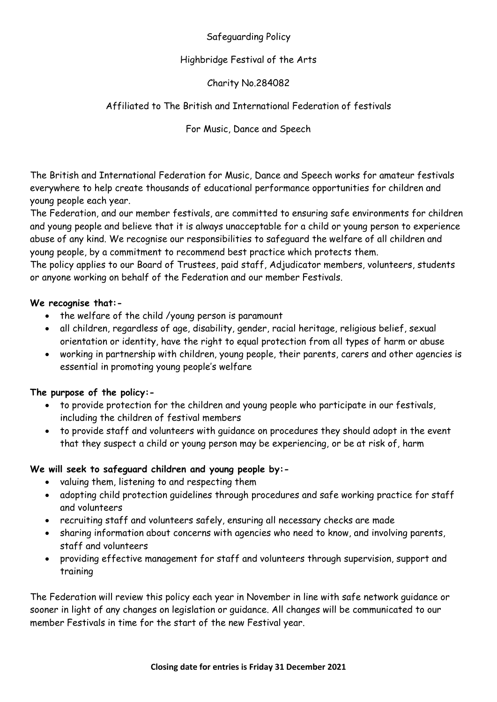#### Safeguarding Policy

#### Highbridge Festival of the Arts

#### Charity No.284082

#### Affiliated to The British and International Federation of festivals

For Music, Dance and Speech

The British and International Federation for Music, Dance and Speech works for amateur festivals everywhere to help create thousands of educational performance opportunities for children and young people each year.

The Federation, and our member festivals, are committed to ensuring safe environments for children and young people and believe that it is always unacceptable for a child or young person to experience abuse of any kind. We recognise our responsibilities to safeguard the welfare of all children and young people, by a commitment to recommend best practice which protects them.

The policy applies to our Board of Trustees, paid staff, Adjudicator members, volunteers, students or anyone working on behalf of the Federation and our member Festivals.

#### **We recognise that:-**

- the welfare of the child /young person is paramount
- all children, regardless of age, disability, gender, racial heritage, religious belief, sexual orientation or identity, have the right to equal protection from all types of harm or abuse
- working in partnership with children, young people, their parents, carers and other agencies is essential in promoting young people's welfare

#### **The purpose of the policy:-**

- to provide protection for the children and young people who participate in our festivals, including the children of festival members
- to provide staff and volunteers with guidance on procedures they should adopt in the event that they suspect a child or young person may be experiencing, or be at risk of, harm

#### **We will seek to safeguard children and young people by:-**

- valuing them, listening to and respecting them
- adopting child protection guidelines through procedures and safe working practice for staff and volunteers
- recruiting staff and volunteers safely, ensuring all necessary checks are made
- sharing information about concerns with agencies who need to know, and involving parents, staff and volunteers
- providing effective management for staff and volunteers through supervision, support and training

The Federation will review this policy each year in November in line with safe network guidance or sooner in light of any changes on legislation or guidance. All changes will be communicated to our member Festivals in time for the start of the new Festival year.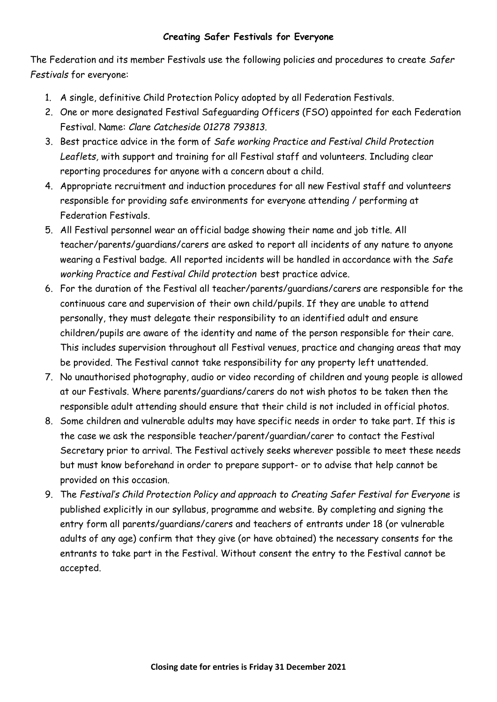#### **Creating Safer Festivals for Everyone**

The Federation and its member Festivals use the following policies and procedures to create *Safer Festivals* for everyone:

- 1. A single, definitive Child Protection Policy adopted by all Federation Festivals.
- 2. One or more designated Festival Safeguarding Officers (FSO) appointed for each Federation Festival. Name: *Clare Catcheside 01278 793813.*
- 3. Best practice advice in the form of *Safe working Practice and Festival Child Protection Leaflets,* with support and training for all Festival staff and volunteers. Including clear reporting procedures for anyone with a concern about a child.
- 4. Appropriate recruitment and induction procedures for all new Festival staff and volunteers responsible for providing safe environments for everyone attending / performing at Federation Festivals.
- 5. All Festival personnel wear an official badge showing their name and job title. All teacher/parents/guardians/carers are asked to report all incidents of any nature to anyone wearing a Festival badge. All reported incidents will be handled in accordance with the *Safe working Practice and Festival Child protection* best practice advice.
- 6. For the duration of the Festival all teacher/parents/guardians/carers are responsible for the continuous care and supervision of their own child/pupils. If they are unable to attend personally, they must delegate their responsibility to an identified adult and ensure children/pupils are aware of the identity and name of the person responsible for their care. This includes supervision throughout all Festival venues, practice and changing areas that may be provided. The Festival cannot take responsibility for any property left unattended.
- 7. No unauthorised photography, audio or video recording of children and young people is allowed at our Festivals. Where parents/guardians/carers do not wish photos to be taken then the responsible adult attending should ensure that their child is not included in official photos.
- 8. Some children and vulnerable adults may have specific needs in order to take part. If this is the case we ask the responsible teacher/parent/guardian/carer to contact the Festival Secretary prior to arrival. The Festival actively seeks wherever possible to meet these needs but must know beforehand in order to prepare support- or to advise that help cannot be provided on this occasion.
- 9. The *Festival's Child Protection Policy and approach to Creating Safer Festival for Everyone* is published explicitly in our syllabus, programme and website. By completing and signing the entry form all parents/guardians/carers and teachers of entrants under 18 (or vulnerable adults of any age) confirm that they give (or have obtained) the necessary consents for the entrants to take part in the Festival. Without consent the entry to the Festival cannot be accepted.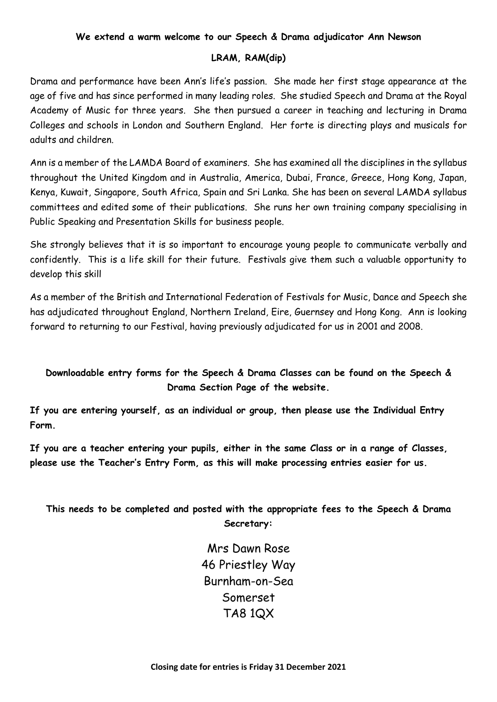#### **We extend a warm welcome to our Speech & Drama adjudicator Ann Newson**

#### **LRAM, RAM(dip)**

Drama and performance have been Ann's life's passion. She made her first stage appearance at the age of five and has since performed in many leading roles. She studied Speech and Drama at the Royal Academy of Music for three years. She then pursued a career in teaching and lecturing in Drama Colleges and schools in London and Southern England. Her forte is directing plays and musicals for adults and children.

Ann is a member of the LAMDA Board of examiners. She has examined all the disciplines in the syllabus throughout the United Kingdom and in Australia, America, Dubai, France, Greece, Hong Kong, Japan, Kenya, Kuwait, Singapore, South Africa, Spain and Sri Lanka. She has been on several LAMDA syllabus committees and edited some of their publications. She runs her own training company specialising in Public Speaking and Presentation Skills for business people.

She strongly believes that it is so important to encourage young people to communicate verbally and confidently. This is a life skill for their future. Festivals give them such a valuable opportunity to develop this skill

As a member of the British and International Federation of Festivals for Music, Dance and Speech she has adjudicated throughout England, Northern Ireland, Eire, Guernsey and Hong Kong. Ann is looking forward to returning to our Festival, having previously adjudicated for us in 2001 and 2008.

#### **Downloadable entry forms for the Speech & Drama Classes can be found on the Speech & Drama Section Page of the website.**

**If you are entering yourself, as an individual or group, then please use the Individual Entry Form.**

**If you are a teacher entering your pupils, either in the same Class or in a range of Classes, please use the Teacher's Entry Form, as this will make processing entries easier for us.** 

**This needs to be completed and posted with the appropriate fees to the Speech & Drama Secretary:**

> Mrs Dawn Rose 46 Priestley Way Burnham-on-Sea Somerset TA8 1QX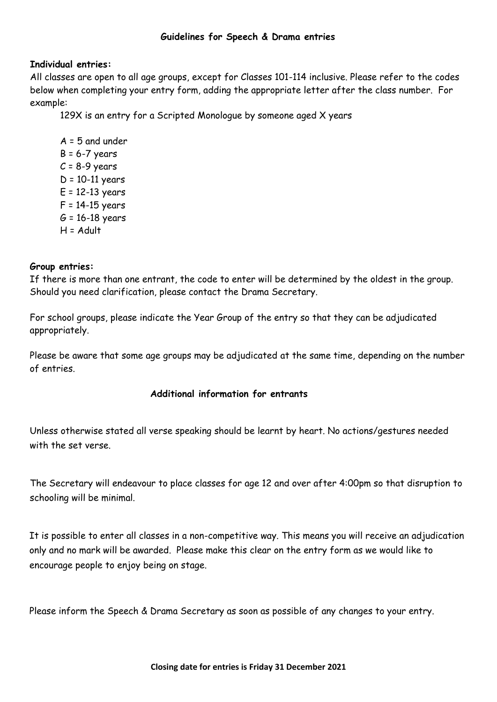#### **Guidelines for Speech & Drama entries**

#### **Individual entries:**

All classes are open to all age groups, except for Classes 101-114 inclusive. Please refer to the codes below when completing your entry form, adding the appropriate letter after the class number. For example:

129X is an entry for a Scripted Monologue by someone aged X years

 $A = 5$  and under  $B = 6 - 7$  years  $C = 8-9$  years  $D = 10-11$  years  $E = 12-13$  years F = 14-15 years  $G = 16 - 18$  years  $H =$  Adult

#### **Group entries:**

If there is more than one entrant, the code to enter will be determined by the oldest in the group. Should you need clarification, please contact the Drama Secretary.

For school groups, please indicate the Year Group of the entry so that they can be adjudicated appropriately.

Please be aware that some age groups may be adjudicated at the same time, depending on the number of entries.

#### **Additional information for entrants**

Unless otherwise stated all verse speaking should be learnt by heart. No actions/gestures needed with the set verse.

The Secretary will endeavour to place classes for age 12 and over after 4:00pm so that disruption to schooling will be minimal.

It is possible to enter all classes in a non-competitive way. This means you will receive an adjudication only and no mark will be awarded. Please make this clear on the entry form as we would like to encourage people to enjoy being on stage.

Please inform the Speech & Drama Secretary as soon as possible of any changes to your entry.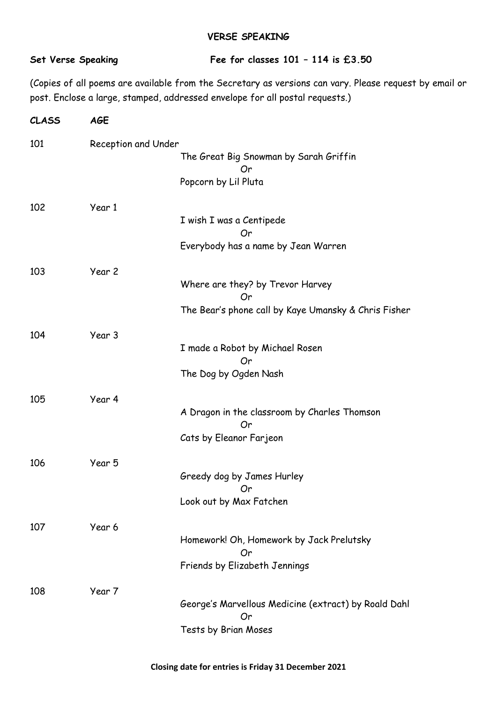#### **VERSE SPEAKING**

#### **Set Verse Speaking Fee for classes 101 – 114 is £3.50**

(Copies of all poems are available from the Secretary as versions can vary. Please request by email or post. Enclose a large, stamped, addressed envelope for all postal requests.)

| <b>CLASS</b> | <b>AGE</b>          |                                                            |  |  |
|--------------|---------------------|------------------------------------------------------------|--|--|
| 101          | Reception and Under |                                                            |  |  |
|              |                     | The Great Big Snowman by Sarah Griffin<br>Or               |  |  |
|              |                     | Popcorn by Lil Pluta                                       |  |  |
| 102          | Year 1              |                                                            |  |  |
|              |                     | I wish I was a Centipede<br>Or                             |  |  |
|              |                     | Everybody has a name by Jean Warren                        |  |  |
| 103          | Year 2              |                                                            |  |  |
|              |                     | Where are they? by Trevor Harvey<br>Or                     |  |  |
|              |                     | The Bear's phone call by Kaye Umansky & Chris Fisher       |  |  |
| 104          | Year 3              |                                                            |  |  |
|              |                     | I made a Robot by Michael Rosen<br>Or                      |  |  |
|              |                     | The Dog by Ogden Nash                                      |  |  |
| 105          | Year 4              |                                                            |  |  |
|              |                     | A Dragon in the classroom by Charles Thomson<br>Or         |  |  |
|              |                     | Cats by Eleanor Farjeon                                    |  |  |
| 106          | Year 5              |                                                            |  |  |
|              |                     | Greedy dog by James Hurley<br>Or O                         |  |  |
|              |                     | Look out by Max Fatchen                                    |  |  |
| 107          | Year 6              |                                                            |  |  |
|              |                     | Homework! Oh, Homework by Jack Prelutsky<br>Or             |  |  |
|              |                     | Friends by Elizabeth Jennings                              |  |  |
| 108          | Year 7              |                                                            |  |  |
|              |                     | George's Marvellous Medicine (extract) by Roald Dahl<br>Or |  |  |
|              |                     | Tests by Brian Moses                                       |  |  |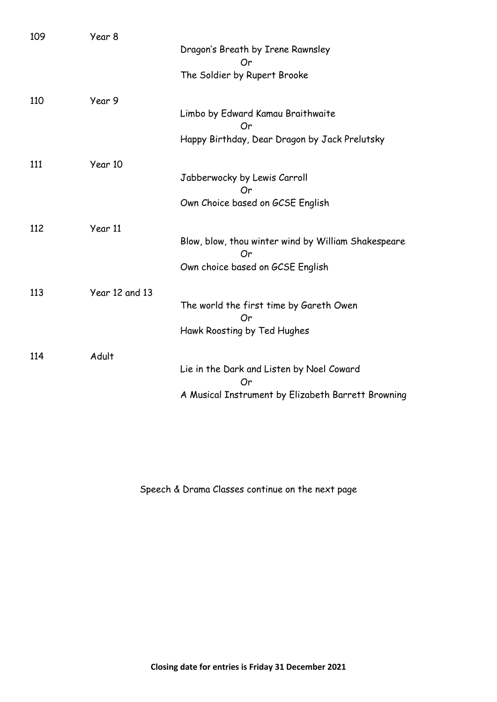| 109 | Year 8         | Dragon's Breath by Irene Rawnsley<br>Or                   |
|-----|----------------|-----------------------------------------------------------|
|     |                | The Soldier by Rupert Brooke                              |
| 110 | Year 9         |                                                           |
|     |                | Limbo by Edward Kamau Braithwaite<br>Or                   |
|     |                | Happy Birthday, Dear Dragon by Jack Prelutsky             |
| 111 | Year 10        |                                                           |
|     |                | Jabberwocky by Lewis Carroll<br>Or                        |
|     |                | Own Choice based on GCSE English                          |
| 112 | Year 11        |                                                           |
|     |                | Blow, blow, thou winter wind by William Shakespeare<br>Or |
|     |                | Own choice based on GCSE English                          |
| 113 | Year 12 and 13 |                                                           |
|     |                | The world the first time by Gareth Owen<br>Or             |
|     |                | Hawk Roosting by Ted Hughes                               |
| 114 | Adult          |                                                           |
|     |                | Lie in the Dark and Listen by Noel Coward<br>Or           |
|     |                | A Musical Instrument by Elizabeth Barrett Browning        |

Speech & Drama Classes continue on the next page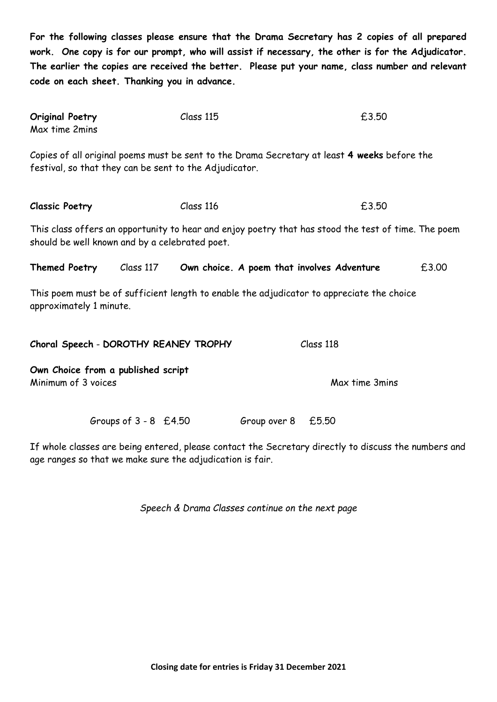**For the following classes please ensure that the Drama Secretary has 2 copies of all prepared work. One copy is for our prompt, who will assist if necessary, the other is for the Adjudicator. The earlier the copies are received the better. Please put your name, class number and relevant code on each sheet. Thanking you in advance.**

| <b>Original Poetry</b> | Class 115 | £3.50 |
|------------------------|-----------|-------|
| Max time 2mins         |           |       |

Copies of all original poems must be sent to the Drama Secretary at least **4 weeks** before the festival, so that they can be sent to the Adjudicator.

**Classic Poetry** Class 116 **Class 116 E3.50** 

This class offers an opportunity to hear and enjoy poetry that has stood the test of time. The poem should be well known and by a celebrated poet.

| £3.00<br><b>Themed Poetry</b><br>Class 117<br>Own choice. A poem that involves Adventure |
|------------------------------------------------------------------------------------------|
|------------------------------------------------------------------------------------------|

This poem must be of sufficient length to enable the adjudicator to appreciate the choice approximately 1 minute.

| Class 118      |
|----------------|
|                |
| Max time 3mins |
|                |

Groups of  $3 - 8$  £4.50 Group over  $8$  £5.50

If whole classes are being entered, please contact the Secretary directly to discuss the numbers and age ranges so that we make sure the adjudication is fair.

*Speech & Drama Classes continue on the next page*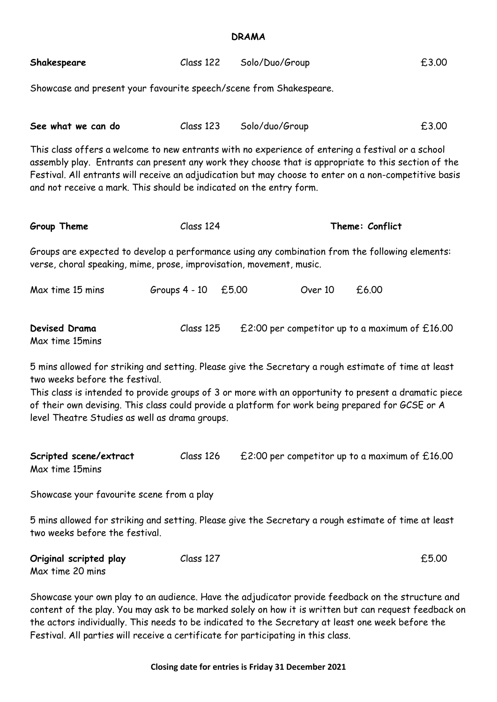#### **DRAMA**

| Shakespeare                                                                                                                                                                                                                                                                                                                                                                               | Class 122             | Solo/Duo/Group | £3.00                                            |  |
|-------------------------------------------------------------------------------------------------------------------------------------------------------------------------------------------------------------------------------------------------------------------------------------------------------------------------------------------------------------------------------------------|-----------------------|----------------|--------------------------------------------------|--|
| Showcase and present your favourite speech/scene from Shakespeare.                                                                                                                                                                                                                                                                                                                        |                       |                |                                                  |  |
|                                                                                                                                                                                                                                                                                                                                                                                           |                       |                |                                                  |  |
| See what we can do                                                                                                                                                                                                                                                                                                                                                                        | Class 123             | Solo/duo/Group | £3.00                                            |  |
| This class offers a welcome to new entrants with no experience of entering a festival or a school<br>assembly play. Entrants can present any work they choose that is appropriate to this section of the<br>Festival. All entrants will receive an adjudication but may choose to enter on a non-competitive basis<br>and not receive a mark. This should be indicated on the entry form. |                       |                |                                                  |  |
| Group Theme                                                                                                                                                                                                                                                                                                                                                                               | Class 124             |                | Theme: Conflict                                  |  |
| Groups are expected to develop a performance using any combination from the following elements:<br>verse, choral speaking, mime, prose, improvisation, movement, music.                                                                                                                                                                                                                   |                       |                |                                                  |  |
| Max time 15 mins                                                                                                                                                                                                                                                                                                                                                                          | Groups $4 - 10$ £5.00 | Over 10        | £6.00                                            |  |
| <b>Devised Drama</b><br>Max time 15mins                                                                                                                                                                                                                                                                                                                                                   | Class 125             |                | £2:00 per competitor up to a maximum of $£16.00$ |  |
| 5 mins allowed for striking and setting. Please give the Secretary a rough estimate of time at least<br>two weeks before the festival.                                                                                                                                                                                                                                                    |                       |                |                                                  |  |

This class is intended to provide groups of 3 or more with an opportunity to present a dramatic piece of their own devising. This class could provide a platform for work being prepared for GCSE or A level Theatre Studies as well as drama groups.

| Scripted scene/extract | Class 126 | £2:00 per competitor up to a maximum of $£16.00$ |
|------------------------|-----------|--------------------------------------------------|
| Max time 15mins        |           |                                                  |

Showcase your favourite scene from a play

5 mins allowed for striking and setting. Please give the Secretary a rough estimate of time at least two weeks before the festival.

| Original scripted play | Class 127 | £5.00 |
|------------------------|-----------|-------|
| Max time 20 mins       |           |       |

Showcase your own play to an audience. Have the adjudicator provide feedback on the structure and content of the play. You may ask to be marked solely on how it is written but can request feedback on the actors individually. This needs to be indicated to the Secretary at least one week before the Festival. All parties will receive a certificate for participating in this class.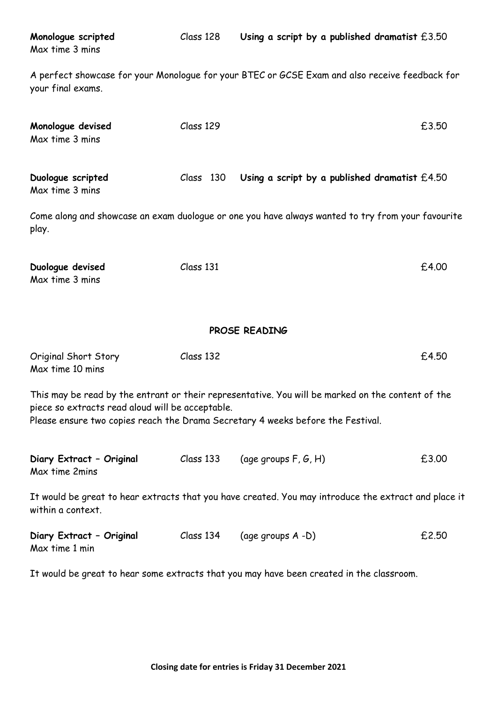| Monologue scripted<br>Max time 3 mins                                                                                                                                                                                                    | Class 128 | Using a script by a published dramatist $£3.50$                                                   |       |
|------------------------------------------------------------------------------------------------------------------------------------------------------------------------------------------------------------------------------------------|-----------|---------------------------------------------------------------------------------------------------|-------|
| your final exams.                                                                                                                                                                                                                        |           | A perfect showcase for your Monologue for your BTEC or GCSE Exam and also receive feedback for    |       |
| Monologue devised<br>Max time 3 mins                                                                                                                                                                                                     | Class 129 |                                                                                                   | £3.50 |
| Duologue scripted<br>Max time 3 mins                                                                                                                                                                                                     | Class 130 | Using a script by a published dramatist $£4.50$                                                   |       |
| play.                                                                                                                                                                                                                                    |           | Come along and showcase an exam duologue or one you have always wanted to try from your favourite |       |
| Duologue devised<br>Max time 3 mins                                                                                                                                                                                                      | Class 131 |                                                                                                   | £4.00 |
| PROSE READING                                                                                                                                                                                                                            |           |                                                                                                   |       |
| Original Short Story<br>Max time 10 mins                                                                                                                                                                                                 | Class 132 |                                                                                                   | £4.50 |
| This may be read by the entrant or their representative. You will be marked on the content of the<br>piece so extracts read aloud will be acceptable.<br>Please ensure two copies reach the Drama Secretary 4 weeks before the Festival. |           |                                                                                                   |       |
| Diary Extract - Original<br>Max time 2mins                                                                                                                                                                                               | Class 133 | (age groups $F, G, H$ )                                                                           | £3.00 |
| It would be great to hear extracts that you have created. You may introduce the extract and place it<br>within a context.                                                                                                                |           |                                                                                                   |       |
| Diary Extract - Original<br>Max time 1 min                                                                                                                                                                                               | Class 134 | (age groups A -D)                                                                                 | £2.50 |
|                                                                                                                                                                                                                                          |           | It would be great to hear some extracts that you may have been created in the classroom.          |       |